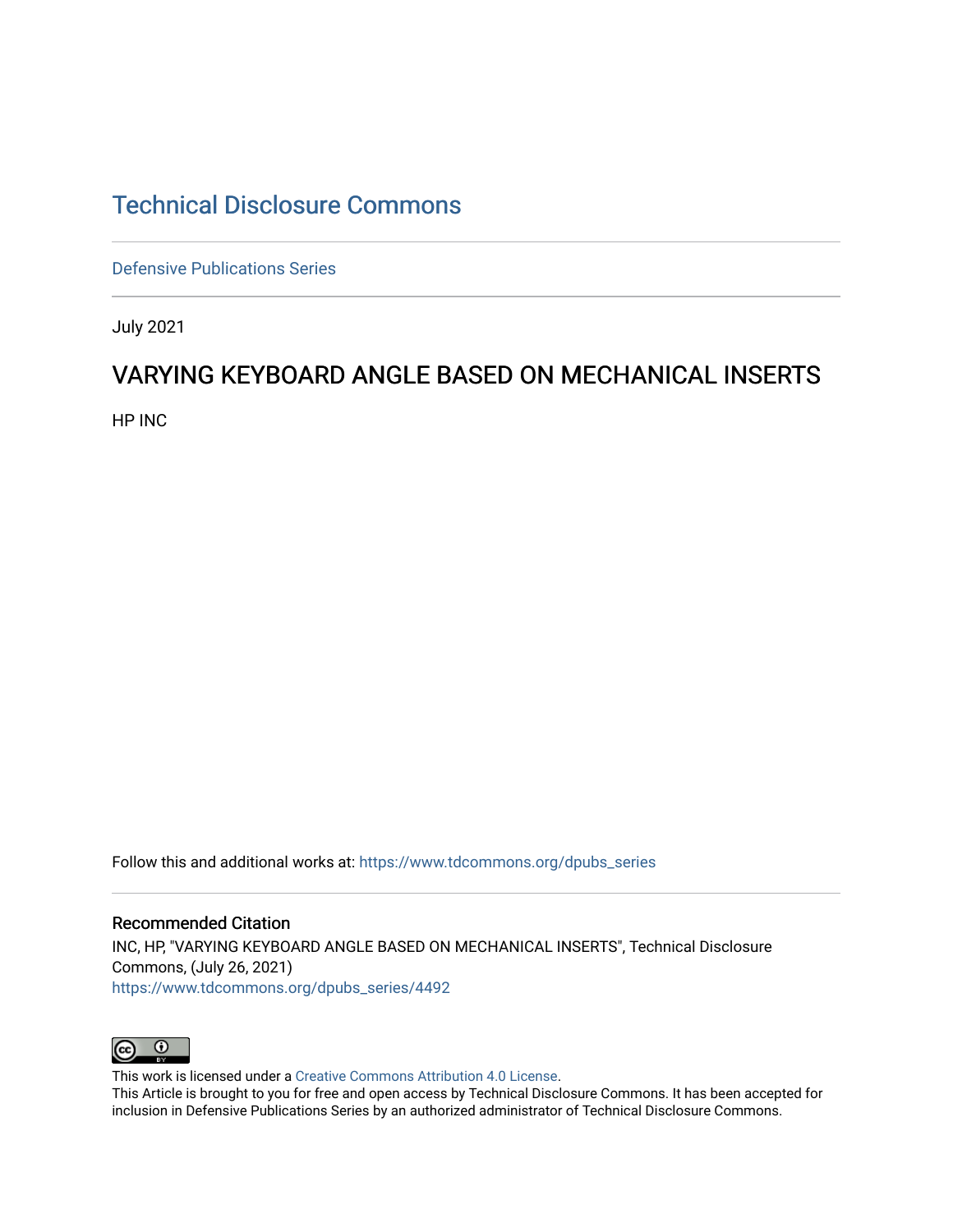## [Technical Disclosure Commons](https://www.tdcommons.org/)

[Defensive Publications Series](https://www.tdcommons.org/dpubs_series)

July 2021

## VARYING KEYBOARD ANGLE BASED ON MECHANICAL INSERTS

HP INC

Follow this and additional works at: [https://www.tdcommons.org/dpubs\\_series](https://www.tdcommons.org/dpubs_series?utm_source=www.tdcommons.org%2Fdpubs_series%2F4492&utm_medium=PDF&utm_campaign=PDFCoverPages) 

Recommended Citation INC, HP, "VARYING KEYBOARD ANGLE BASED ON MECHANICAL INSERTS", Technical Disclosure Commons, (July 26, 2021) [https://www.tdcommons.org/dpubs\\_series/4492](https://www.tdcommons.org/dpubs_series/4492?utm_source=www.tdcommons.org%2Fdpubs_series%2F4492&utm_medium=PDF&utm_campaign=PDFCoverPages)



This work is licensed under a [Creative Commons Attribution 4.0 License](http://creativecommons.org/licenses/by/4.0/deed.en_US).

This Article is brought to you for free and open access by Technical Disclosure Commons. It has been accepted for inclusion in Defensive Publications Series by an authorized administrator of Technical Disclosure Commons.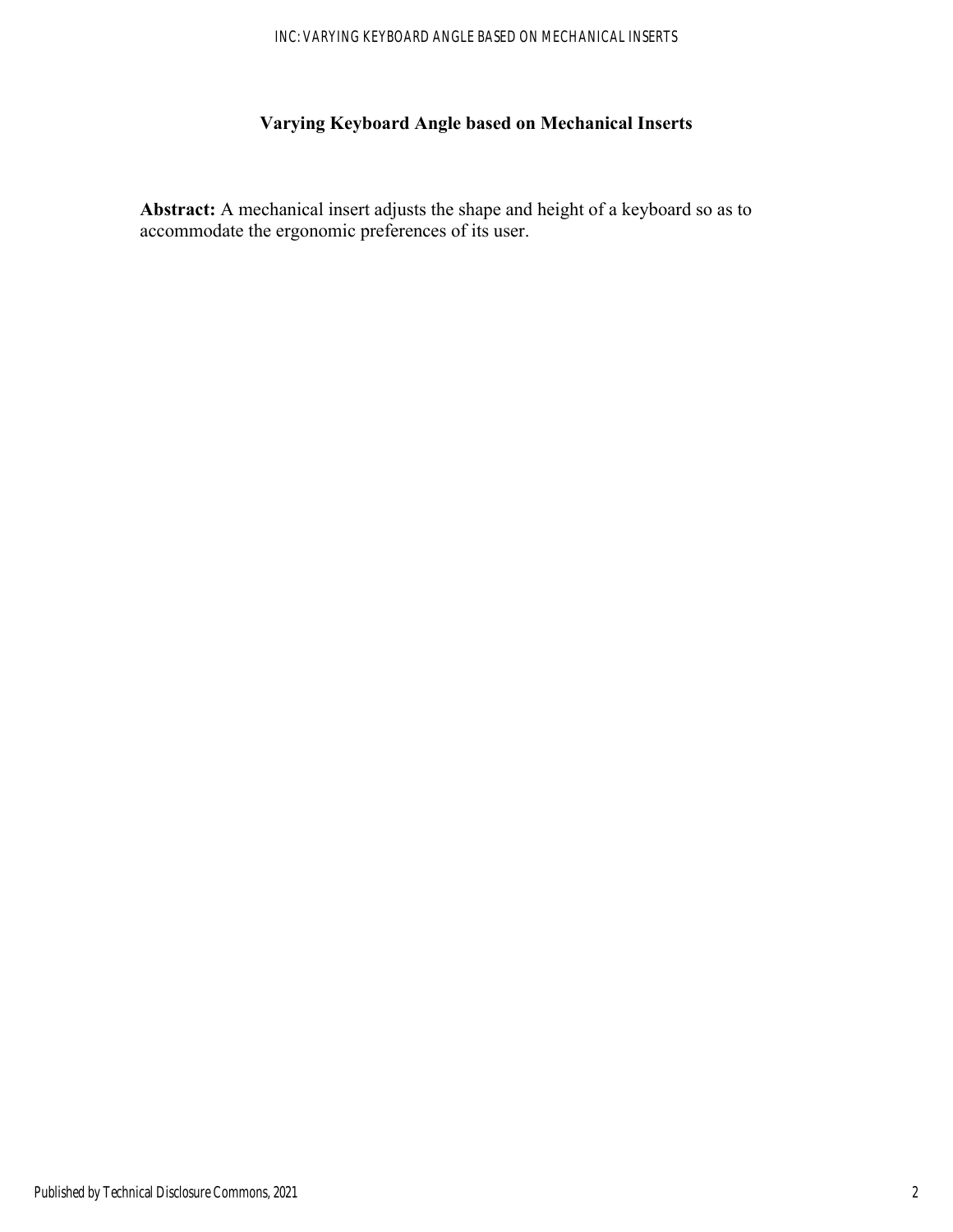## **Varying Keyboard Angle based on Mechanical Inserts**

**Abstract:** A mechanical insert adjusts the shape and height of a keyboard so as to accommodate the ergonomic preferences of its user.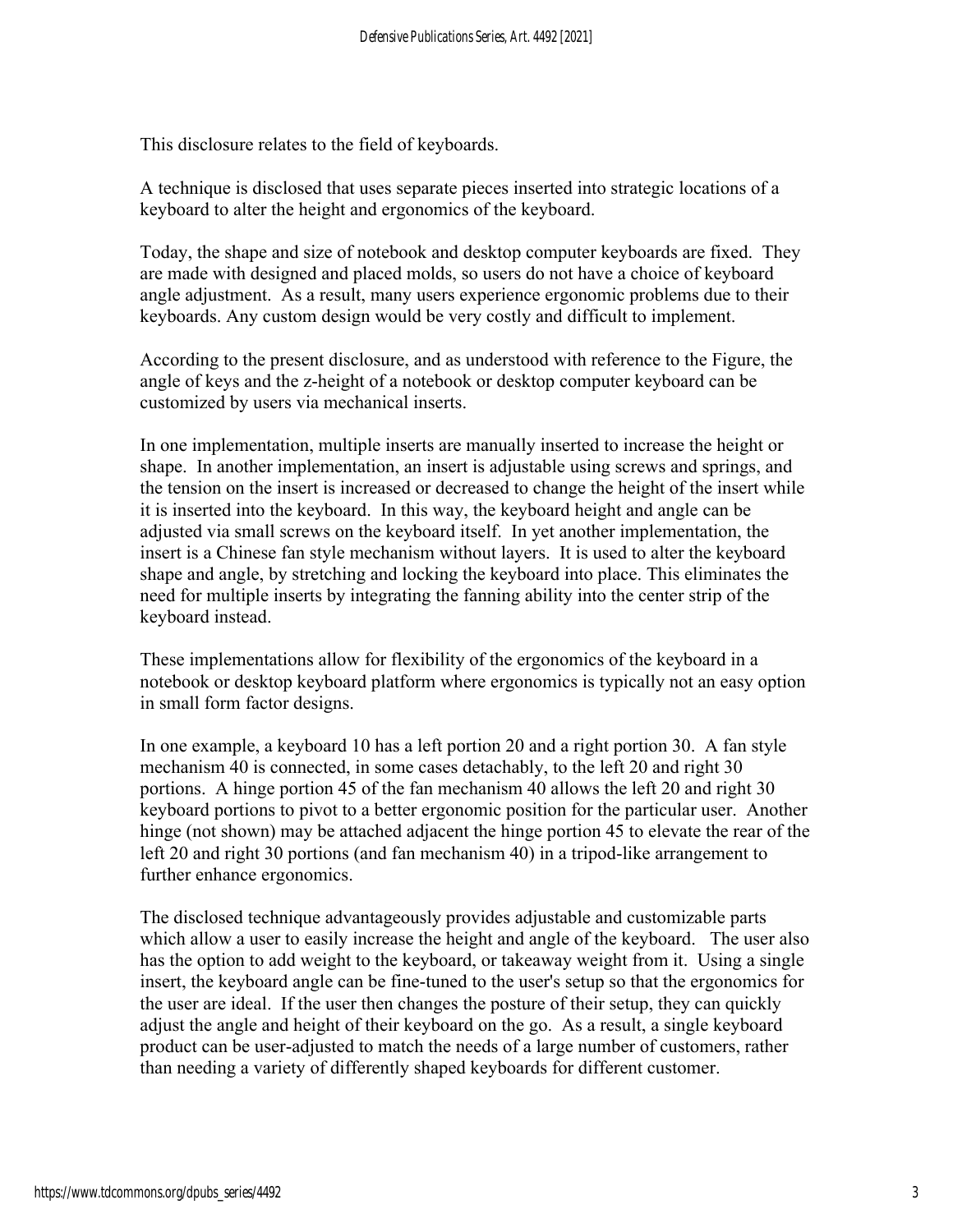This disclosure relates to the field of keyboards.

A technique is disclosed that uses separate pieces inserted into strategic locations of a keyboard to alter the height and ergonomics of the keyboard.

Today, the shape and size of notebook and desktop computer keyboards are fixed. They are made with designed and placed molds, so users do not have a choice of keyboard angle adjustment. As a result, many users experience ergonomic problems due to their keyboards. Any custom design would be very costly and difficult to implement.

According to the present disclosure, and as understood with reference to the Figure, the angle of keys and the z-height of a notebook or desktop computer keyboard can be customized by users via mechanical inserts.

In one implementation, multiple inserts are manually inserted to increase the height or shape. In another implementation, an insert is adjustable using screws and springs, and the tension on the insert is increased or decreased to change the height of the insert while it is inserted into the keyboard. In this way, the keyboard height and angle can be adjusted via small screws on the keyboard itself. In yet another implementation, the insert is a Chinese fan style mechanism without layers. It is used to alter the keyboard shape and angle, by stretching and locking the keyboard into place. This eliminates the need for multiple inserts by integrating the fanning ability into the center strip of the keyboard instead.

These implementations allow for flexibility of the ergonomics of the keyboard in a notebook or desktop keyboard platform where ergonomics is typically not an easy option in small form factor designs.

In one example, a keyboard 10 has a left portion 20 and a right portion 30. A fan style mechanism 40 is connected, in some cases detachably, to the left 20 and right 30 portions. A hinge portion 45 of the fan mechanism 40 allows the left 20 and right 30 keyboard portions to pivot to a better ergonomic position for the particular user. Another hinge (not shown) may be attached adjacent the hinge portion 45 to elevate the rear of the left 20 and right 30 portions (and fan mechanism 40) in a tripod-like arrangement to further enhance ergonomics.

The disclosed technique advantageously provides adjustable and customizable parts which allow a user to easily increase the height and angle of the keyboard. The user also has the option to add weight to the keyboard, or takeaway weight from it. Using a single insert, the keyboard angle can be fine-tuned to the user's setup so that the ergonomics for the user are ideal. If the user then changes the posture of their setup, they can quickly adjust the angle and height of their keyboard on the go. As a result, a single keyboard product can be user-adjusted to match the needs of a large number of customers, rather than needing a variety of differently shaped keyboards for different customer.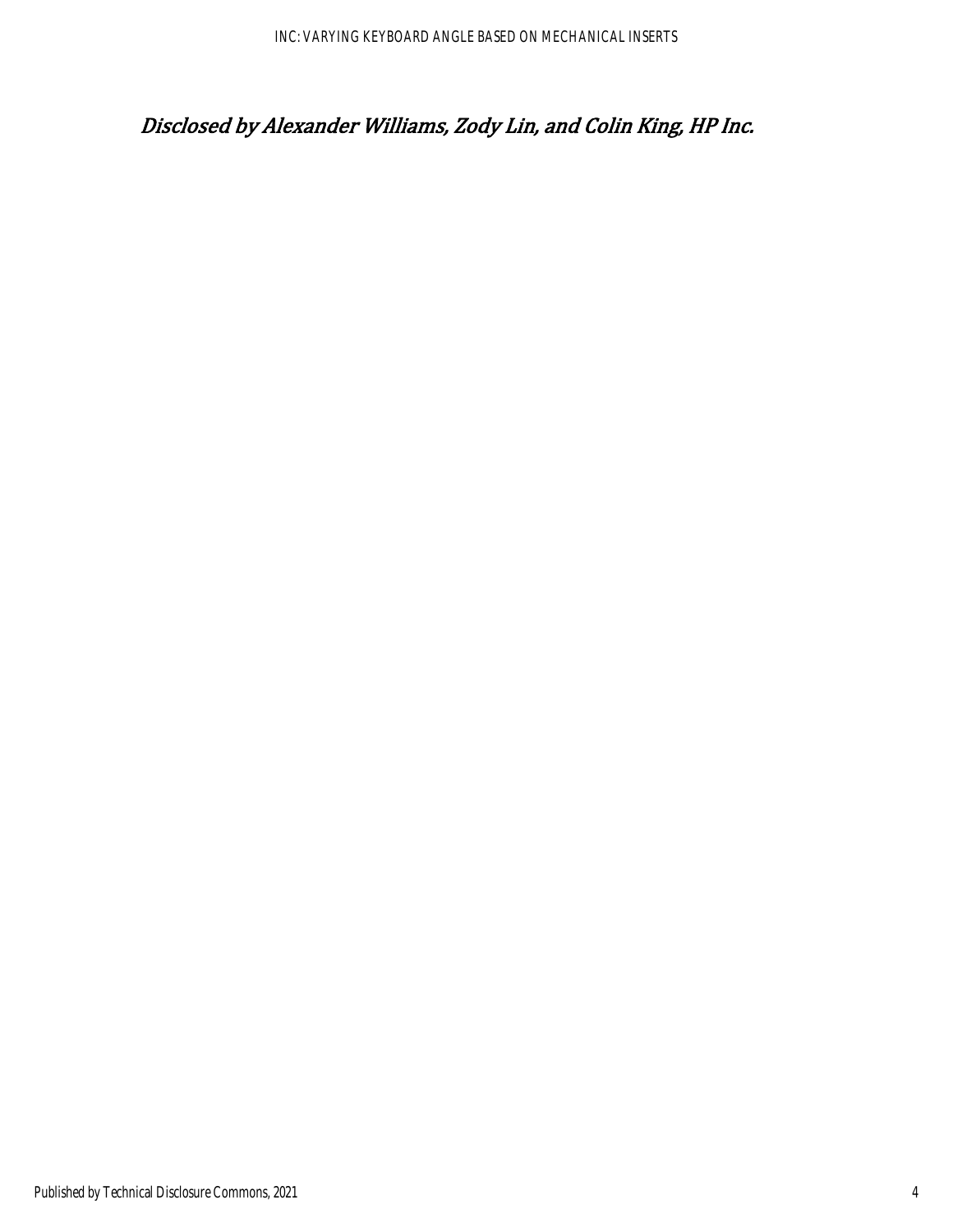## Disclosed by Alexander Williams, Zody Lin, and Colin King, HP Inc.